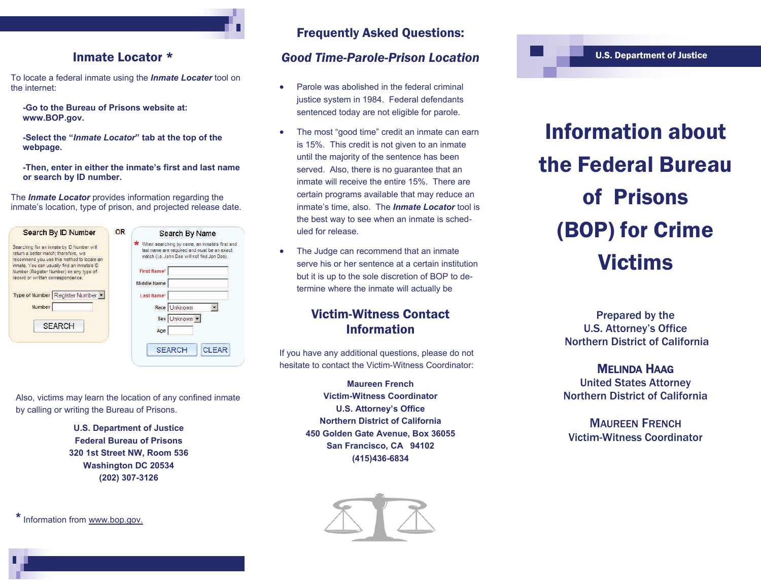### Inmate Locator \*

To locate a federal inmate using the *Inmate Locater* tool on the internet:

 **-Go to the Bureau of Prisons website at: www.BOP.gov.** 

 **-Select the "***Inmate Locator***" tab at the top of the webpage.** 

 **-Then, enter in either the inmate's first and last name or search by ID number.** 

The *Inmate Locator* provides information regarding the inmate's location, type of prison, and projected release date.

Also, victims may learn the location of any confined inmate

**U.S. Department of Justice Federal Bureau of Prisons 320 1st Street NW, Room 536 Washington DC 20534 (202) 307-3126** 

| Search By ID Number                                                                                                                                                                                                                                                                                                                | <b>OR</b> | Search By Name                                                                                                                                                                                                                        |
|------------------------------------------------------------------------------------------------------------------------------------------------------------------------------------------------------------------------------------------------------------------------------------------------------------------------------------|-----------|---------------------------------------------------------------------------------------------------------------------------------------------------------------------------------------------------------------------------------------|
| Searching for an inmate by ID Number will<br>return a better match: therefore, we<br>recommend you use this method to locate an<br>inmate. You can usually find an inmate's ID<br>Number (Register Number) on any type of<br>record or written correspondence.<br>Type of Number Register Number<br><b>Number</b><br><b>SEARCH</b> |           | When searching by name, an inmate's first and<br>last name are required and must be an exact<br>match (i.e. John Doe will not find Jon Doe).<br><b>First Name*</b><br>Middle Name<br>Last Name*<br>Race Unknown<br>Sex Unknown<br>Age |
|                                                                                                                                                                                                                                                                                                                                    |           | <b>SEARCH</b><br><b>CLEAR</b>                                                                                                                                                                                                         |

by calling or writing the Bureau of Prisons.

### rch By Name

### Frequently Asked Questions:

### *Good Time-Parole-Prison Location*

- $\bullet$  Parole was abolished in the federal criminal justice system in 1984. Federal defendants sentenced today are not eligible for parole.
- $\bullet$  The most "good time" credit an inmate can earn is 15%. This credit is not given to an inmate until the majority of the sentence has been served. Also, there is no guarantee that an inmate will receive the entire 15%. There are certain programs available that may reduce an inmate's time, also. The *Inmate Locator* tool is the best way to see when an inmate is scheduled for release.
- $\bullet$  The Judge can recommend that an inmate serve his or her sentence at a certain institution but it is up to the sole discretion of BOP to determine where the inmate will actually be

### Victim-Witness Contact Information

If you have any additional questions, please do not hesitate to contact the Victim-Witness Coordinator:

> **Maureen French Victim-Witness Coordinator U.S. Attorney's Office Northern District of California 450 Golden Gate Avenue, Box 36055 San Francisco, CA 94102 (415)436-6834**



# Information about the Federal Bureau of Prisons (BOP) for Crime Victims

U.S. Department of Justice

Prepared by the U.S. Attorney's Office Northern District of California

MELINDA HAAG United States Attorney Northern District of California

MAUREEN FRENCHVictim-Witness Coordinator

**\*** Information from www.bop.gov.